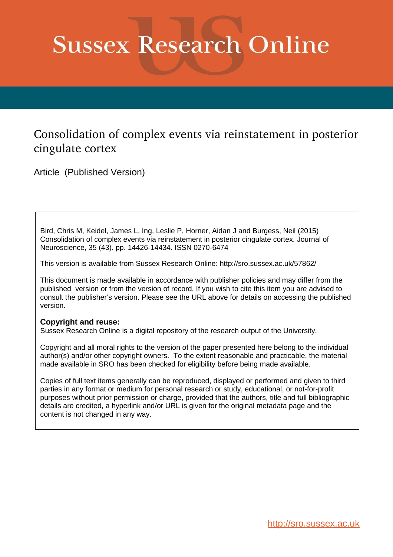# **Sussex Research Online**

# Consolidation of complex events via reinstatement in posterior cingulate cortex

Article (Published Version)

Bird, Chris M, Keidel, James L, Ing, Leslie P, Horner, Aidan J and Burgess, Neil (2015) Consolidation of complex events via reinstatement in posterior cingulate cortex. Journal of Neuroscience, 35 (43). pp. 14426-14434. ISSN 0270-6474

This version is available from Sussex Research Online: http://sro.sussex.ac.uk/57862/

This document is made available in accordance with publisher policies and may differ from the published version or from the version of record. If you wish to cite this item you are advised to consult the publisher's version. Please see the URL above for details on accessing the published version.

# **Copyright and reuse:**

Sussex Research Online is a digital repository of the research output of the University.

Copyright and all moral rights to the version of the paper presented here belong to the individual author(s) and/or other copyright owners. To the extent reasonable and practicable, the material made available in SRO has been checked for eligibility before being made available.

Copies of full text items generally can be reproduced, displayed or performed and given to third parties in any format or medium for personal research or study, educational, or not-for-profit purposes without prior permission or charge, provided that the authors, title and full bibliographic details are credited, a hyperlink and/or URL is given for the original metadata page and the content is not changed in any way.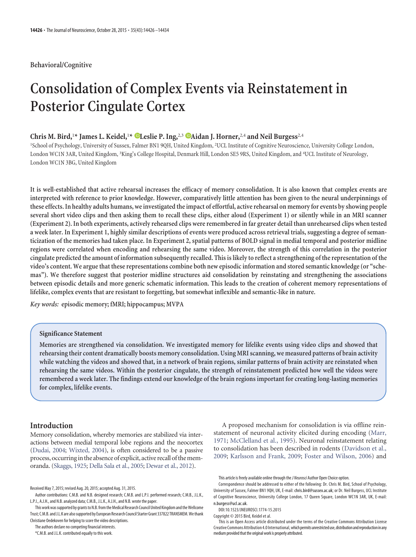# **Behavioral/Cognitive**

# **Consolidation of Complex Events via Reinstatement in Posterior Cingulate Cortex**

# **Chris M. Bird,**<sup>1</sup>**\* James L. Keidel,**<sup>1</sup>**\* XLeslie P. Ing,**2,3 **XAidan J. Horner,**2,4 **and Neil Burgess**2,4

<sup>1</sup>School of Psychology, University of Sussex, Falmer BN1 9QH, United Kingdom, <sup>2</sup>UCL Institute of Cognitive Neuroscience, University College London, London WC1N 3AR, United Kingdom, <sup>3</sup>King's College Hospital, Denmark Hill, London SE5 9RS, United Kingdom, and <sup>4</sup>UCL Institute of Neurology, London WC1N 3BG, United Kingdom

**It is well-established that active rehearsal increases the efficacy of memory consolidation. It is also known that complex events are interpreted with reference to prior knowledge. However, comparatively little attention has been given to the neural underpinnings of these effects. In healthy adults humans, we investigated the impact of effortful, active rehearsal on memory for events by showing people several short video clips and then asking them to recall these clips, either aloud (Experiment 1) or silently while in an MRI scanner (Experiment 2). In both experiments, actively rehearsed clips were remembered in far greater detail than unrehearsed clips when tested a week later. In Experiment 1, highly similar descriptions of events were produced across retrieval trials, suggesting a degree of semanticization of the memories had taken place. In Experiment 2, spatial patterns of BOLD signal in medial temporal and posterior midline regions were correlated when encoding and rehearsing the same video. Moreover, the strength of this correlation in the posterior cingulate predicted the amount of information subsequently recalled. This is likely to reflect a strengthening of the representation of the video's content. We argue that these representations combine both new episodic information and stored semantic knowledge (or "schemas"). We therefore suggest that posterior midline structures aid consolidation by reinstating and strengthening the associations between episodic details and more generic schematic information. This leads to the creation of coherent memory representations of lifelike, complex events that are resistant to forgetting, but somewhat inflexible and semantic-like in nature.**

*Key words:* **episodic memory; fMRI; hippocampus; MVPA**

# **Significance Statement**

**Memories are strengthened via consolidation. We investigated memory for lifelike events using video clips and showed that rehearsing their content dramatically boosts memory consolidation. Using MRI scanning, we measured patterns of brain activity while watching the videos and showed that, in a network of brain regions, similar patterns of brain activity are reinstated when rehearsing the same videos. Within the posterior cingulate, the strength of reinstatement predicted how well the videos were remembered a week later. The findings extend our knowledge of the brain regions important for creating long-lasting memories for complex, lifelike events.**

# **Introduction**

Memory consolidation, whereby memories are stabilized via interactions between medial temporal lobe regions and the neocortex [\(Dudai, 2004;](#page-7-0) [Wixted, 2004\)](#page-8-0), is often considered to be a passive process, occurring in the absence of explicit, active recall of the memoranda. [\(Skaggs, 1925;](#page-8-1) [Della Sala et al., 2005;](#page-7-1) [Dewar et al., 2012\)](#page-7-2).

The authors declare no competing financial interests.

A proposed mechanism for consolidation is via offline reinstatement of neuronal activity elicited during encoding [\(Marr,](#page-8-2) [1971;](#page-8-2) [McClelland et al., 1995\)](#page-8-3). Neuronal reinstatement relating to consolidation has been described in rodents [\(Davidson et al.,](#page-7-3) [2009;](#page-7-3) [Karlsson and Frank, 2009;](#page-8-4) [Foster and Wilson, 2006\)](#page-8-5) and

Received May 7, 2015; revised Aug. 20, 2015; accepted Aug. 31, 2015.

Author contributions: C.M.B. and N.B. designed research; C.M.B. and L.P.I. performed research; C.M.B., J.L.K., L.P.I., A.J.H., and N.B. analyzed data; C.M.B., J.L.K., A.J.H., and N.B. wrote the paper.

This work was supported by grants to N.B. from the Medical Research Council United Kingdom and the Wellcome Trust; C.M.B. and J.L.K are also supported by European Research Council Starter Grant 337822 TRANSMEM. We thank Christiane Oedekoven for helping to score the video descriptions.

<sup>\*</sup>C.M.B. and J.L.K. contributed equally to this work.

This article is freely available online through the *J Neurosci* Author Open Choice option.

Correspondence should be addressed to either of the following: Dr. Chris M. Bird, School of Psychology, University of Sussex, Falmer BN1 9QH, UK, E-mail: chris.bird@sussex.ac.uk; or Dr. Neil Burgess, UCL Institute of Cognitive Neuroscience, University College London, 17 Queen Square, London WC1N 3AR, UK, E-mail: n.burgess@ucl.ac.uk.

DOI:10.1523/JNEUROSCI.1774-15.2015

Copyright © 2015 Bird, Keidel et al.

This is an Open Access article distributed under the terms of the Creative Commons Attribution License [Creative Commons Attribution 4.0 International,](https://creativecommons.org/licenses/by/4.0)which permits unrestricted use, distribution and reproduction in any medium provided that the original work is properly attributed.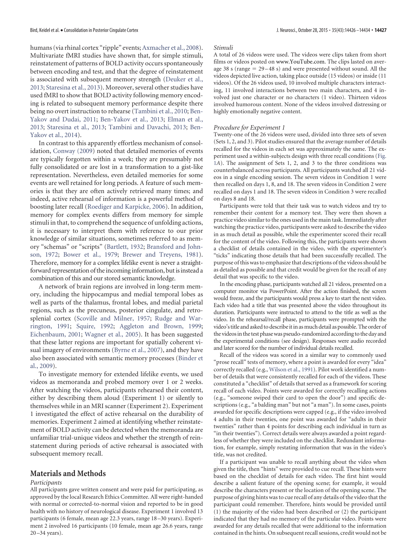humans (via rhinal cortex "ripple" events; [Axmacher et al., 2008\)](#page-7-4). Multivariate fMRI studies have shown that, for simple stimuli, reinstatement of patterns of BOLD activity occurs spontaneously between encoding and test, and that the degree of reinstatement is associated with subsequent memory strength [\(Deuker et al.,](#page-7-5) [2013;](#page-7-5) [Staresina et al., 2013\)](#page-8-6). Moreover, several other studies have used fMRI to show that BOLD activity following memory encoding is related to subsequent memory performance despite there being no overt instruction to rehearse [\(Tambini et al., 2010;](#page-8-7) [Ben-](#page-7-6)[Yakov and Dudai, 2011;](#page-7-6) [Ben-Yakov et al., 2013;](#page-7-7) [Elman et al.,](#page-7-8) [2013;](#page-7-8) [Staresina et al., 2013;](#page-8-6) [Tambini and Davachi, 2013;](#page-8-8) [Ben-](#page-7-9)[Yakov et al., 2014\)](#page-7-9).

In contrast to this apparently effortless mechanism of consolidation, [Conway \(2009\)](#page-7-10) noted that detailed memories of events are typically forgotten within a week; they are presumably not fully consolidated or are lost in a transformation to a gist-like representation. Nevertheless, even detailed memories for some events are well retained for long periods. A feature of such memories is that they are often actively retrieved many times; and indeed, active rehearsal of information is a powerful method of boosting later recall [\(Roediger and Karpicke, 2006\)](#page-8-9). In addition, memory for complex events differs from memory for simple stimuli in that, to comprehend the sequence of unfolding actions, it is necessary to interpret them with reference to our prior knowledge of similar situations, sometimes referred to as memory "schemas" or "scripts" [\(Bartlett, 1932;](#page-7-11) [Bransford and John](#page-7-12)[son, 1972;](#page-7-12) [Bower et al., 1979;](#page-7-13) [Brewer and Treyens, 1981\)](#page-7-14). Therefore, memory for a complex lifelike event is never a straightforward representation of the incoming information, but is instead a combination of this and our stored semantic knowledge.

A network of brain regions are involved in long-term memory, including the hippocampus and medial temporal lobes as well as parts of the thalamus, frontal lobes, and medial parietal regions, such as the precuneus, posterior cingulate, and retrosplenial cortex [\(Scoville and Milner, 1957;](#page-8-10) [Rudge and War](#page-8-11)[rington, 1991;](#page-8-11) [Squire, 1992;](#page-8-12) [Aggleton and Brown, 1999;](#page-7-15) [Eichenbaum, 2001;](#page-7-16) [Wagner et al., 2005\)](#page-8-13). It has been suggested that these latter regions are important for spatially coherent visual imagery of environments [\(Byrne et al., 2007\)](#page-7-17), and they have also been associated with semantic memory processes [\(Binder et](#page-7-18) [al., 2009\)](#page-7-18).

To investigate memory for extended lifelike events, we used videos as memoranda and probed memory over 1 or 2 weeks. After watching the videos, participants rehearsed their content, either by describing them aloud (Experiment 1) or silently to themselves while in an MRI scanner (Experiment 2). Experiment 1 investigated the effect of active rehearsal on the durability of memories. Experiment 2 aimed at identifying whether reinstatement of BOLD activity can be detected when the memoranda are unfamiliar trial-unique videos and whether the strength of reinstatement during periods of active rehearsal is associated with subsequent memory recall.

#### **Materials and Methods**

#### *Participants*

All participants gave written consent and were paid for participating, as approved by the local Research Ethics Committee. All were right-handed with normal or corrected-to-normal vision and reported to be in good health with no history of neurological disease. Experiment 1 involved 13 participants (6 female, mean age 22.3 years, range 18 –30 years). Experiment 2 involved 16 participants (10 female, mean age 26.6 years, range 20 –34 years).

#### *Stimuli*

A total of 26 videos were used. The videos were clips taken from short films or videos posted on www.YouTube.com. The clips lasted on average 38 s (range  $= 29-48$  s) and were presented without sound. All the videos depicted live action, taking place outside (15 videos) or inside (11 videos). Of the 26 videos used, 10 involved multiple characters interacting, 11 involved interactions between two main characters, and 4 involved just one character or no characters (1 video). Thirteen videos involved humorous content. None of the videos involved distressing or highly emotionally negative content.

#### *Procedure for Experiment 1*

Twenty-one of the 26 videos were used, divided into three sets of seven (Sets 1, 2, and 3). Pilot studies ensured that the average number of details recalled for the videos in each set was approximately the same. The experiment used a within-subjects design with three recall conditions [\(Fig.](#page-2-0) [1](#page-2-0)*A*). The assignment of Sets 1, 2, and 3 to the three conditions was counterbalanced across participants. All participants watched all 21 videos in a single encoding session. The seven videos in Condition 1 were then recalled on days 1, 8, and 18. The seven videos in Condition 2 were recalled on days 1 and 18. The seven videos in Condition 3 were recalled on days 8 and 18.

Participants were told that their task was to watch videos and try to remember their content for a memory test. They were then shown a practice video similar to the ones used in the main task. Immediately after watching the practice video, participants were asked to describe the video in as much detail as possible, while the experimenter scored their recall for the content of the video. Following this, the participants were shown a checklist of details contained in the video, with the experimenter's "ticks" indicating those details that had been successfully recalled. The purpose of this was to emphasize that descriptions of the videos should be as detailed as possible and that credit would be given for the recall of any detail that was specific to the video.

In the encoding phase, participants watched all 21 videos, presented on a computer monitor via PowerPoint. After the action finished, the screen would freeze, and the participants would press a key to start the next video. Each video had a title that was presented above the video throughout its duration. Participants were instructed to attend to the title as well as the video. In the rehearsal/recall phase, participants were prompted with the video's title and asked to describe it in as much detail as possible. The order of the videos in the test phase was pseudo-randomized according to the day and the experimental conditions (see design). Responses were audio recorded and later scored for the number of individual details recalled.

<span id="page-2-0"></span>Recall of the videos was scored in a similar way to commonly used "prose recall" tests of memory, where a point is awarded for every "idea" correctly recalled (e.g., [Wilson et al., 1991\)](#page-8-14). Pilot work identified a number of details that were consistently recalled for each of the videos. These constituted a "checklist" of details that served as a framework for scoring recall of each video. Points were awarded for correctly recalling actions (e.g., "someone swiped their card to open the door") and specific descriptions (e.g., "a balding man" but not "a man"). In some cases, points awarded for specific descriptions were capped (e.g., if the video involved 4 adults in their twenties, one point was awarded for "adults in their twenties" rather than 4 points for describing each individual in turn as "in their twenties"). Correct details were always awarded a point regardless of whether they were included on the checklist. Redundant information, for example, simply restating information that was in the video's title, was not credited.

If a participant was unable to recall anything about the video when given the title, then "hints" were provided to cue recall. These hints were based on the checklist of details for each video. The first hint would describe a salient feature of the opening scene; for example, it would describe the characters present or the location of the opening scene. The purpose of giving hints was to cue recall of any details of the video that the participant could remember. Therefore, hints would be provided until (1) the majority of the video had been described or (2) the participant indicated that they had no memory of the particular video. Points were awarded for any details recalled that were additional to the information contained in the hints. On subsequent recall sessions, credit would not be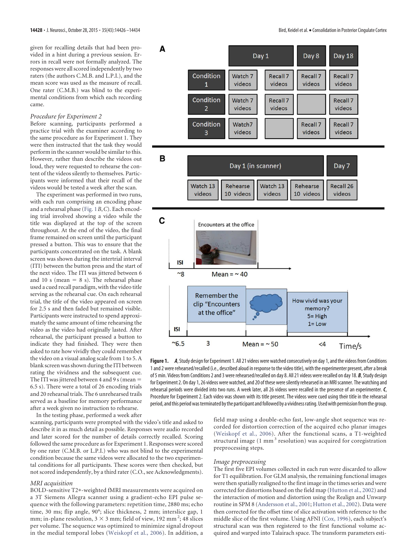given for recalling details that had been provided in a hint during a previous session. Errors in recall were not formally analyzed. The responses were all scored independently by two raters (the authors C.M.B. and L.P.I.), and the mean score was used as the measure of recall. One rater (C.M.B.) was blind to the experimental conditions from which each recording came.

#### *Procedure for Experiment 2*

Before scanning, participants performed a practice trial with the examiner according to the same procedure as for Experiment 1. They were then instructed that the task they would perform in the scanner would be similar to this. However, rather than describe the videos out loud, they were requested to rehearse the content of the videos silently to themselves. Participants were informed that their recall of the videos would be tested a week after the scan.

The experiment was performed in two runs, with each run comprising an encoding phase and a rehearsal phase [\(Fig. 1](#page-2-0)*B*,*C*). Each encoding trial involved showing a video while the title was displayed at the top of the screen throughout. At the end of the video, the final frame remained on screen until the participant pressed a button. This was to ensure that the participants concentrated on the task. A blank screen was shown during the intertrial interval (ITI) between the button press and the start of the next video. The ITI was jittered between 6 and 10 s (mean  $= 8$  s). The rehearsal phase used a cued recall paradigm, with the video title serving as the rehearsal cue. On each rehearsal trial, the title of the video appeared on screen for 2.5 s and then faded but remained visible. Participants were instructed to spend approximately the same amount of time rehearsing the video as the video had originally lasted. After rehearsal, the participant pressed a button to indicate they had finished. They were then asked to rate how vividly they could remember the video on a visual analog scale from 1 to 5. A blank screen was shown during the ITI between rating the vividness and the subsequent cue. The ITI was jittered between 4 and 9 s (mean  $=$ 6.5 s). There were a total of 26 encoding trials and 20 rehearsal trials. The 6 unrehearsed trails served as a baseline for memory performance after a week given no instruction to rehearse.

In the testing phase, performed a week after

scanning, participants were prompted with the video's title and asked to describe it in as much detail as possible. Responses were audio recorded and later scored for the number of details correctly recalled. Scoring followed the same procedure as for Experiment 1. Responses were scored by one rater (C.M.B. or L.P.I.) who was not blind to the experimental condition because the same videos were allocated to the two experimental conditions for all participants. These scores were then checked, but not scored independently, by a third rater (C.O., see Acknowledgments).

#### *MRI acquisition*

BOLD-sensitive T2\*-weighted fMRI measurements were acquired on a 3T Siemens Allegra scanner using a gradient-echo EPI pulse sequence with the following parameters: repetition time, 2880 ms; echo time, 30 ms; flip angle, 90°; slice thickness, 2 mm; interslice gap, 1 mm; in-plane resolution,  $3 \times 3$  mm; field of view, 192 mm<sup>2</sup>; 48 slices per volume. The sequence was optimized to minimize signal dropout in the medial temporal lobes [\(Weiskopf et al., 2006\)](#page-8-15). In addition, a

<span id="page-3-0"></span>

**Figure 1.** *A*, Study design for Experiment 1. All 21 videos were watched consecutively on day 1, and the videos from Conditions 1 and 2 were rehearsed/recalled (i.e., described aloud in response to the video title), with the experimenter present, after a break of 5 min. Videos from Conditions 2 and 3 were rehearsed/recalled on day 8. All 21 videos were recalled on day 18. *B*, Study design for Experiment 2. On day 1, 26 videos were watched, and 20 of these were silently rehearsed in an MRI scanner. The watching and rehearsal periods were divided into two runs. A week later, all 26 videos were recalled in the presence of an experimenter. *C*, Procedure for Experiment 2. Each video was shown with its title present. The videos were cued using their title in the rehearsal period, and this period was terminated by the participant and followed by a vividness rating. Used with permission from the group.

field map using a double-echo fast, low-angle shot sequence was recorded for distortion correction of the acquired echo planar images [\(Weiskopf et al., 2006\)](#page-8-15). After the functional scans, a T1-weighted structural image (1 mm<sup>3</sup> resolution) was acquired for coregistration preprocessing steps.

#### *Image preprocessing*

The first five EPI volumes collected in each run were discarded to allow for T1 equilibration. For GLM analysis, the remaining functional images were then spatially realigned to the first image in the times series and were corrected for distortions based on the field map [\(Hutton et al., 2002\)](#page-8-16) and the interaction of motion and distortion using the Realign and Unwarp routine in SPM 8 [\(Andersson et al., 2001;](#page-7-19) [Hutton et al., 2002\)](#page-8-16). Data were then corrected for the offset time of slice activation with reference to the middle slice of the first volume. Using AFNI [\(Cox, 1996\)](#page-7-20), each subject's structural scan was then registered to the first functional volume acquired and warped into Talairach space. The transform parameters esti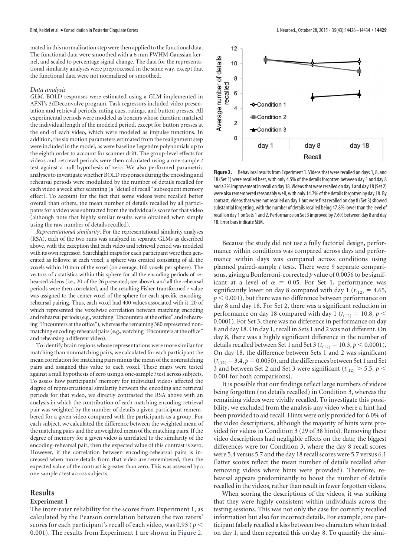mated in this normalization step were then applied to the functional data. The functional data were smoothed with a 6 mm FWHM Gaussian kernel, and scaled to percentage signal change. The data for the representational similarity analyses were preprocessed in the same way, except that the functional data were not normalized or smoothed.

#### *Data analysis*

*GLM*. BOLD responses were estimated using a GLM implemented in AFNI's 3dDeconvolve program. Task regressors included video presentation and retrieval periods, rating cues, ratings, and button presses. All experimental periods were modeled as boxcars whose duration matched the individual length of the modeled period, except for button presses at the end of each video, which were modeled as impulse functions. In addition, the six motion parameters estimated from the realignment step were included in the model, as were baseline Legendre polynomials up to the eighth order to account for scanner drift. The group-level effects for videos and retrieval periods were then calculated using a one-sample *t* test against a null hypothesis of zero. We also performed parametric analyses to investigate whether BOLD responses during the encoding and rehearsal periods were modulated by the number of details recalled for each video a week after scanning (a "detail of recall" subsequent memory effect). To account for the fact that some videos were recalled better overall than others, the mean number of details recalled by all participants for a video was subtracted from the individual's score for that video (although note that highly similar results were obtained when simply using the raw number of details recalled).

*Representational similarity*. For the representational similarity analyses (RSA), each of the two runs was analyzed in separate GLMs as described above, with the exception that each video and retrieval period was modeled with its own regressor. Searchlight maps for each participant were then generated as follows: at each voxel, a sphere was created consisting of all the voxels within 10 mm of the voxel (on average, 160 voxels per sphere). The vectors of *t* statistics within this sphere for all the encoding periods of rehearsed videos (i.e., 20 of the 26 presented; see above), and all the rehearsal periods were then correlated, and the resulting Fisher-transformed *r* value was assigned to the center voxel of the sphere for each specific encodingrehearsal pairing. Thus, each voxel had 400 values associated with it, 20 of which represented the voxelwise correlation between matching encoding and rehearsal periods (e.g., watching "Encounters at the office" and rehearsing "Encounters at the office"), whereas the remaining 380 represented nonmatching encoding-rehearsal pairs (e.g., watching "Encounters at the office" and rehearsing a different video).

To identify brain regions whose representations were more similar for matching than nonmatching pairs, we calculated for each participant the mean correlation for matching pairs minus the mean of the nonmatching pairs and assigned this value to each voxel. These maps were tested against a null hypothesis of zero using a one-sample *t* test across subjects. To assess how participants' memory for individual videos affected the degree of representational similarity between the encoding and retrieval periods for that video, we directly contrasted the RSA above with an analysis in which the contribution of each matching encoding-retrieval pair was weighted by the number of details a given participant remembered for a given video compared with the participants as a group. For each subject, we calculated the difference between the weighted mean of the matching pairs and the unweighted mean of the matching pairs. If the degree of memory for a given video is unrelated to the similarity of the encoding-rehearsal pair, then the expected value of this contrast is zero. However, if the correlation between encoding-rehearsal pairs is increased when more details from that video are remembered, then the expected value of the contrast is greater than zero. This was assessed by a one sample *t* test across subjects.

#### **Results**

#### **Experiment 1**

The inter-rater reliability for the scores from Experiment 1, as calculated by the Pearson correlation between the two raters' scores for each participant's recall of each video, was 0.93 ( *p* 0.001). The results from Experiment 1 are shown in [Figure 2.](#page-3-0)



**Figure 2.** Behavioral results from Experiment 1. Videos that were recalled on days 1, 8, and 18 (Set 1) were recalled best, with only 4.5% of the details forgotten between day 1 and day 8 and a 2% improvement in recall on day 18. Videos that were recalled on day 1 and day 18 (Set 2) were also remembered reasonably well, with only 14.7% of the details forgotten by day 18. By contrast, videos that were not recalled on day 1 but were first recalled on day 8 (Set 3) showed substantial forgetting, with the number of details recalled being 47.8% lower than the level of recall on day 1 on Sets 1 and 2. Performance on Set 3 improved by 7.6% between day 8 and day 18. Error bars indicate SEM.

<span id="page-4-0"></span>Because the study did not use a fully factorial design, performance within conditions was compared across days and performance within days was compared across conditions using planned paired-sample *t* tests. There were 9 separate comparisons, giving a Bonferroni-corrected *p* value of 0.0056 to be significant at a level of  $\alpha = 0.05$ . For Set 1, performance was significantly lower on day 8 compared with day 1 ( $t_{(12)} = 4.65$ ,  $p < 0.001$ ), but there was no difference between performance on day 8 and day 18. For Set 2, there was a significant reduction in performance on day 18 compared with day 1 ( $t_{(12)} = 10.8$ ,  $p <$ 0.0001). For Set 3, there was no difference in performance on day 8 and day 18. On day 1, recall in Sets 1 and 2 was not different. On day 8, there was a highly significant difference in the number of details recalled between Set 1 and Set 3 ( $t_{(12)} = 10.3$ ,  $p < 0.0001$ ). On day 18, the difference between Sets 1 and 2 was significant  $(t_{(12)} = 3.4, p = 0.0050)$ , and the differences between Set 1 and Set 3 and between Set 2 and Set 3 were significant ( $t_{(12)} > 5.5$ ,  $p <$ 0.001 for both comparisons).

It is possible that our findings reflect large numbers of videos being forgotten (no details recalled) in Condition 3, whereas the remaining videos were vividly recalled. To investigate this possibility, we excluded from the analysis any video where a hint had been provided to aid recall. Hints were only provided for 6.0% of the video descriptions, although the majority of hints were provided for videos in Condition 3 (29 of 38 hints). Removing these video descriptions had negligible effects on the data; the biggest differences were for Condition 3, where the day 8 recall scores were 5.4 versus 5.7 and the day 18 recall scores were 5.7 versus 6.1 (latter scores reflect the mean number of details recalled after removing videos where hints were provided). Therefore, rehearsal appears predominantly to boost the number of details recalled in the videos, rather than result in fewer forgotten videos.

When scoring the descriptions of the videos, it was striking that they were highly consistent within individuals across the testing sessions. This was not only the case for correctly recalled information but also for incorrect details. For example, one participant falsely recalled a kiss between two characters when tested on day 1, and then repeated this on day 8. To quantify the simi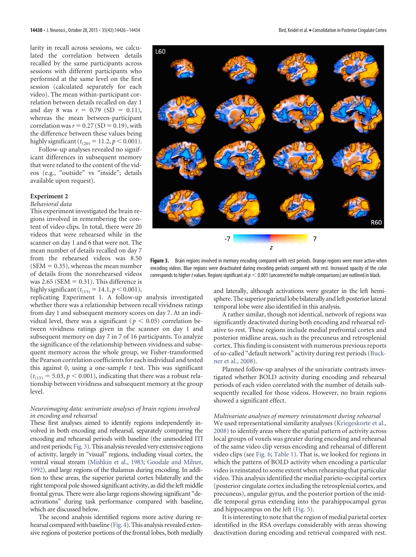larity in recall across sessions, we calculated the correlation between details recalled by the same participants across sessions with different participants who performed at the same level on the first session (calculated separately for each video). The mean within-participant correlation between details recalled on day 1 and day 8 was  $r = 0.79$  (SD = 0.11), whereas the mean between-participant correlation was  $r = 0.27$  (SD = 0.19), with the difference between these values being highly significant  $(t_{(20)} = 11.2, p < 0.001)$ .

Follow-up analyses revealed no significant differences in subsequent memory that were related to the content of the videos (e.g., "outside" vs "inside"; details available upon request).

# **Experiment 2**

# *Behavioral data*

This experiment investigated the brain regions involved in remembering the content of video clips. In total, there were 20 videos that were rehearsed while in the scanner on day 1 and 6 that were not. The mean number of details recalled on day 7 from the rehearsed videos was 8.50  $(SEM = 0.35)$ , whereas the mean number of details from the nonrehearsed videos was  $2.65$  (SEM = 0.31). This difference is highly significant  $(t_{(15)} = 14.1, p < 0.001)$ ,

<span id="page-5-0"></span>replicating Experiment 1. A follow-up analysis investigated whether there was a relationship between recall vividness ratings from day 1 and subsequent memory scores on day 7. At an individual level, there was a significant ( $p < 0.05$ ) correlation between vividness ratings given in the scanner on day 1 and subsequent memory on day 7 in 7 of 16 participants. To analyze the significance of the relationship between vividness and subsequent memory across the whole group, we Fisher-transformed the Pearson correlation coefficients for each individual and tested this against 0, using a one-sample *t* test. This was significant  $(t<sub>(15)</sub> = 5.03, p < 0.001)$ , indicating that there was a robust relationship between vividness and subsequent memory at the group level.

#### *Neuroimaging data: univariate analyses of brain regions involved in encoding and rehearsal*

These first analyses aimed to identify regions independently involved in both encoding and rehearsal, separately comparing the encoding and rehearsal periods with baseline (the unmodeled ITI and rest periods; [Fig. 3\)](#page-4-0). This analysis revealed very extensive regions of activity, largely in "visual" regions, including visual cortex, the ventral visual stream [\(Mishkin et al., 1983;](#page-8-17) [Goodale and Milner,](#page-8-18) [1992\)](#page-8-18), and large regions of the thalamus during encoding. In addition to these areas, the superior parietal cortex bilaterally and the right temporal pole showed significant activity, as did the left middle frontal gyrus. There were also large regions showing significant "deactivations" during task performance compared with baseline, which are discussed below.

The second analysis identified regions more active during rehearsal compared with baseline [\(Fig. 4\)](#page-5-0). This analysis revealed extensive regions of posterior portions of the frontal lobes, both medially



**Figure 3.** Brain regions involved in memory encoding compared with rest periods. Orange regions were more active when encoding videos. Blue regions were deactivated during encoding periods compared with rest. Increased opacity of the color corresponds to higher t values. Regions significant at  $p < 0.001$  (uncorrected for multiple comparisons) are outlined in black.

and laterally, although activations were greater in the left hemisphere. The superior parietal lobe bilaterally and left posterior lateral temporal lobe were also identified in this analysis.

A rather similar, though not identical, network of regions was significantly deactivated during both encoding and rehearsal relative to rest. These regions include medial prefrontal cortex and posterior midline areas, such as the precuneus and retrosplenial cortex. This finding is consistent with numerous previous reports of so-called "default network" activity during rest periods [\(Buck](#page-7-21)[ner et al., 2008\)](#page-7-21).

Planned follow-up analyses of the univariate contrasts investigated whether BOLD activity during encoding and rehearsal periods of each video correlated with the number of details subsequently recalled for those videos. However, no brain regions showed a significant effect.

### *Multivariate analyses of memory reinstatement during rehearsal*

We used representational similarity analyses [\(Kriegeskorte et al.,](#page-8-19) [2008\)](#page-8-19) to identify areas where the spatial pattern of activity across local groups of voxels was greater during encoding and rehearsal of the same video clip versus encoding and rehearsal of different video clips (see [Fig. 6;](#page-6-0) [Table 1\)](#page-6-1). That is, we looked for regions in which the pattern of BOLD activity when encoding a particular video is reinstated to some extent when rehearsing that particular video. This analysis identified the medial parieto-occipital cortex (posterior cingulate cortex including the retrosplenial cortex, and precuneus), angular gyrus, and the posterior portion of the middle temporal gyrus extending into the parahippocampal gyrus and hippocampus on the left [\(Fig. 5\)](#page-6-2).

It is interesting to note that the region of medial parietal cortex identified in the RSA overlaps considerably with areas showing deactivation during encoding and retrieval compared with rest.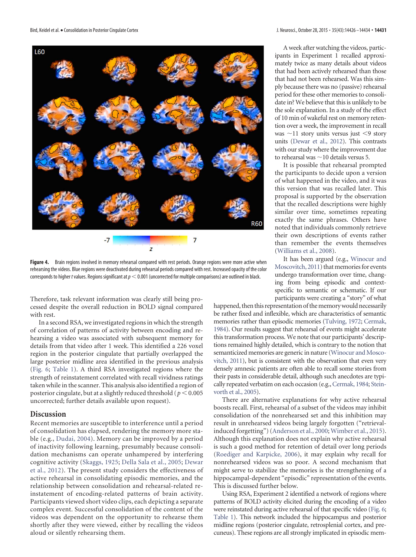<span id="page-6-1"></span>

**Figure 4.** Brain regions involved in memory rehearsal compared with rest periods. Orange regions were more active when rehearsing the videos. Blue regions were deactivated during rehearsal periods compared with rest. Increased opacity of the color corresponds to higher t values. Regions significant at  $p < 0.001$  (uncorrected for multiple comparisons) are outlined in black.

Therefore, task relevant information was clearly still being processed despite the overall reduction in BOLD signal compared with rest.

In a second RSA, we investigated regions in which the strength of correlation of patterns of activity between encoding and rehearsing a video was associated with subsequent memory for details from that video after 1 week. This identified a 226 voxel region in the posterior cingulate that partially overlapped the large posterior midline area identified in the previous analysis [\(Fig. 6;](#page-6-0) [Table 1\)](#page-6-1). A third RSA investigated regions where the strength of reinstatement correlated with recall vividness ratings taken while in the scanner. This analysis also identified a region of posterior cingulate, but at a slightly reduced threshold ( $p < 0.005$ ) uncorrected; further details available upon request).

# **Discussion**

Recent memories are susceptible to interference until a period of consolidation has elapsed, rendering the memory more stable (e.g., [Dudai, 2004\)](#page-7-0). Memory can be improved by a period of inactivity following learning, presumably because consolidation mechanisms can operate unhampered by interfering cognitive activity [\(Skaggs, 1925;](#page-8-1) [Della Sala et al., 2005;](#page-7-1) [Dewar](#page-7-2) [et al., 2012\)](#page-7-2). The present study considers the effectiveness of active rehearsal in consolidating episodic memories, and the relationship between consolidation and rehearsal-related reinstatement of encoding-related patterns of brain activity. Participants viewed short video clips, each depicting a separate complex event. Successful consolidation of the content of the videos was dependent on the opportunity to rehearse them shortly after they were viewed, either by recalling the videos aloud or silently rehearsing them.

A week after watching the videos, participants in Experiment 1 recalled approximately twice as many details about videos that had been actively rehearsed than those that had not been rehearsed. Was this simply because there was no (passive) rehearsal period for these other memories to consolidate in? We believe that this is unlikely to be the sole explanation. In a study of the effect of 10 min of wakeful rest on memory retention over a week, the improvement in recall was  $\sim$ 11 story units versus just  $\leq$ 9 story units [\(Dewar et al., 2012\)](#page-7-2). This contrasts with our study where the improvement due to rehearsal was  $\sim\!10$  details versus 5.

It is possible that rehearsal prompted the participants to decide upon a version of what happened in the video, and it was this version that was recalled later. This proposal is supported by the observation that the recalled descriptions were highly similar over time, sometimes repeating exactly the same phrases. Others have noted that individuals commonly retrieve their own descriptions of events rather than remember the events themselves [\(Williams et al., 2008\)](#page-8-20).

It has been argued (e.g., [Winocur and](#page-8-21) [Moscovitch, 2011\)](#page-8-21) that memories for events undergo transformation over time, changing from being episodic and contextspecific to semantic or schematic. If our participants were creating a "story" of what

<span id="page-6-2"></span>happened, then this representation of the memory would necessarily be rather fixed and inflexible, which are characteristics of semantic memories rather than episodic memories [\(Tulving, 1972;](#page-8-22) [Cermak,](#page-7-22) [1984\)](#page-7-22). Our results suggest that rehearsal of events might accelerate this transformation process. We note that our participants' descriptions remained highly detailed, which is contrary to the notion that semanticized memories are generic in nature [\(Winocur and Mosco](#page-8-21)[vitch, 2011\)](#page-8-21), but is consistent with the observation that even very densely amnesic patients are often able to recall some stories from their pasts in considerable detail, although such anecdotes are typi-cally repeated verbatim on each occasion (e.g., Cermak, 1984; [Stein](#page-8-23)[vorth et al., 2005\)](#page-8-23).

There are alternative explanations for why active rehearsal boosts recall. First, rehearsal of a subset of the videos may inhibit consolidation of the nonrehearsed set and this inhibition may result in unrehearsed videos being largely forgotten ("retrievalinduced forgetting") [\(Anderson et al., 2000;](#page-7-23) [Wimber et al., 2015\)](#page-8-24). Although this explanation does not explain why active rehearsal is such a good method for retention of detail over long periods [\(Roediger and Karpicke, 2006\)](#page-8-9), it may explain why recall for nonrehearsed videos was so poor. A second mechanism that might serve to stabilize the memories is the strengthening of a hippocampal-dependent "episodic" representation of the events. This is discussed further below.

<span id="page-6-0"></span>Using RSA, Experiment 2 identified a network of regions where patterns of BOLD activity elicited during the encoding of a video were reinstated during active rehearsal of that specific video [\(Fig. 6;](#page-6-0) [Table 1\)](#page-6-1). This network included the hippocampus and posterior midline regions (posterior cingulate, retrosplenial cortex, and precuneus). These regions are all strongly implicated in episodic mem-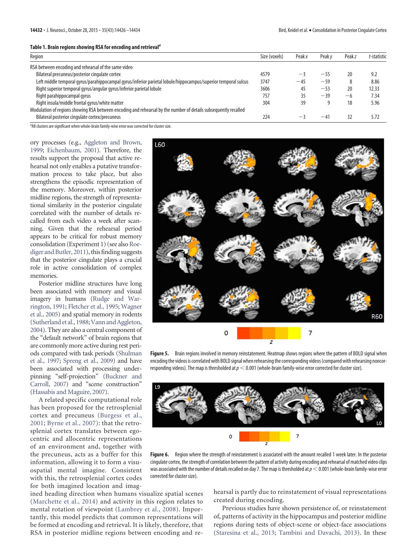|  |  |  | Table 1. Brain regions showing RSA for encoding and retrieval <sup>a</sup> |  |
|--|--|--|----------------------------------------------------------------------------|--|
|  |  |  |                                                                            |  |

| Region                                                                                                          | Size (voxels) | Peakx     | Peak v | <b>Peakz</b> | t-statistic |
|-----------------------------------------------------------------------------------------------------------------|---------------|-----------|--------|--------------|-------------|
| RSA between encoding and rehearsal of the same video                                                            |               |           |        |              |             |
| Bilateral precuneus/posterior cingulate cortex                                                                  | 4579          | -         | $-55$  | 20           | 9.2         |
| Left middle temporal gyrus/parahippocampal gyrus/inferior parietal lobule/hippocampus/superior temporal sulcus  | 3747          | $-45$     | $-59$  |              | 8.86        |
| Right superior temporal gyrus/angular gyrus/inferior parietal lobule                                            | 3606          | 45        | $-53$  | 20           | 12.33       |
| Right parahippocampal gyrus                                                                                     | 757           | 35        | $-39$  | — h          | 7.34        |
| Right insula/middle frontal gyrus/white matter                                                                  | 304           | 39        |        | 18           | 5.96        |
| Modulation of regions showing RSA between encoding and rehearsal by the number of details subsequently recalled |               |           |        |              |             |
| Bilateral posterior cingulate cortex/precuneus                                                                  | 224           | $- \cdot$ | $-41$  | 32           | 5.72        |
|                                                                                                                 |               |           |        |              |             |

<sup>a</sup>All clusters are significant when whole-brain family-wise error was corrected for cluster size.

ory processes (e.g., [Aggleton and Brown,](#page-7-15) [1999;](#page-7-15) [Eichenbaum, 2001\)](#page-7-16). Therefore, the results support the proposal that active rehearsal not only enables a putative transformation process to take place, but also strengthens the episodic representation of the memory. Moreover, within posterior midline regions, the strength of representational similarity in the posterior cingulate correlated with the number of details recalled from each video a week after scanning. Given that the rehearsal period appears to be critical for robust memory consolidation (Experiment 1) (see also [Roe](#page-8-25)[diger and Butler, 2011\)](#page-8-25), this finding suggests that the posterior cingulate plays a crucial role in active consolidation of complex memories.

Posterior midline structures have long been associated with memory and visual imagery in humans [\(Rudge and War](#page-8-11)[rington, 1991;](#page-8-11) [Fletcher et al., 1995;](#page-7-24) [Wagner](#page-8-13) [et al., 2005\)](#page-8-13) and spatial memory in rodents [\(Sutherland et al., 1988;](#page-8-26) [Vann and Aggleton,](#page-8-27) [2004\)](#page-8-27). They are also a central component of the "default network" of brain regions that are commonly more active during rest periods compared with task periods [\(Shulman](#page-8-28) [et al., 1997;](#page-8-28) [Spreng et al., 2009\)](#page-8-29) and have been associated with processing underpinning "self-projection" [\(Buckner and](#page-7-25) [Carroll, 2007\)](#page-7-25) and "scene construction" [\(Hassabis and Maguire, 2007\)](#page-8-30).

A related specific computational role has been proposed for the retrosplenial cortex and precuneus [\(Burgess et al.,](#page-7-26) [2001;](#page-7-26) [Byrne et al., 2007\)](#page-7-17): that the retrosplenial cortex translates between egocentric and allocentric representations of an environment and, together with the precuneus, acts as a buffer for this information, allowing it to form a visuospatial mental imagine. Consistent with this, the retrosplenial cortex codes for both imagined location and imag-

<span id="page-7-23"></span><span id="page-7-19"></span><span id="page-7-18"></span><span id="page-7-15"></span><span id="page-7-13"></span><span id="page-7-12"></span><span id="page-7-11"></span><span id="page-7-9"></span><span id="page-7-7"></span><span id="page-7-6"></span><span id="page-7-4"></span>

<span id="page-7-26"></span><span id="page-7-25"></span><span id="page-7-22"></span><span id="page-7-21"></span><span id="page-7-17"></span><span id="page-7-14"></span><span id="page-7-10"></span>**Figure 5.** Brain regions involved in memory reinstatement. Heatmap shows regions where the pattern of BOLD signal when encoding the videos is correlated with BOLD signal when rehearsing the corresponding videos (compared with rehearsing noncorresponding videos). The map is thresholded at  $p < 0.001$  (whole-brain family-wise error corrected for cluster size).

<span id="page-7-20"></span><span id="page-7-3"></span><span id="page-7-1"></span>

<span id="page-7-5"></span>Figure 6. Region where the strength of reinstatement is associated with the amount recalled 1 week later. In the posterior cingulate cortex, the strength of correlation between the pattern of activity during encoding and rehearsal of matched video clips was associated with the number of details recalled on day 7. The map is thresholded at  $p < 0.001$  (whole-brain family-wise error corrected for cluster size).

ined heading direction when humans visualize spatial scenes [\(Marchette et al., 2014\)](#page-8-31) and activity in this region relates to mental rotation of viewpoint [\(Lambrey et al., 2008\)](#page-8-32). Importantly, this model predicts that common representations will be formed at encoding and retrieval. It is likely, therefore, that RSA in posterior midline regions between encoding and re<span id="page-7-16"></span><span id="page-7-2"></span><span id="page-7-0"></span>hearsal is partly due to reinstatement of visual representations created during encoding.

<span id="page-7-24"></span><span id="page-7-8"></span>Previous studies have shown persistence of, or reinstatement of, patterns of activity in the hippocampus and posterior midline regions during tests of object-scene or object-face associations [\(Staresina et al., 2013;](#page-8-6) [Tambini and Davachi, 2013\)](#page-8-8). In these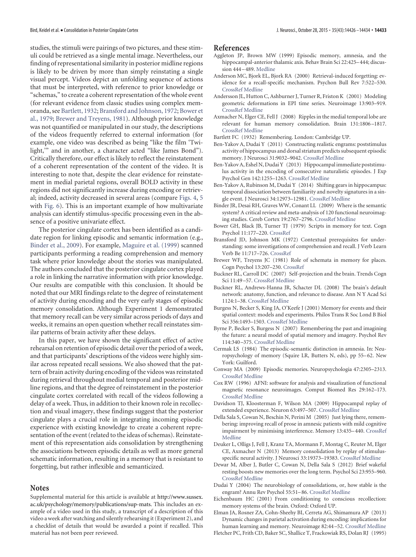<span id="page-8-30"></span><span id="page-8-18"></span><span id="page-8-16"></span><span id="page-8-5"></span><span id="page-8-4"></span>studies, the stimuli were pairings of two pictures, and these stimuli could be retrieved as a single mental image. Nevertheless, our finding of representational similarity in posterior midline regions is likely to be driven by more than simply reinstating a single visual percept. Videos depict an unfolding sequence of actions that must be interpreted, with reference to prior knowledge or "schemas," to create a coherent representation of the whole event (for relevant evidence from classic studies using complex memoranda, see [Bartlett, 1932;](#page-7-11) [Bransford and Johnson, 1972;](#page-7-12) [Bower et](#page-7-13) [al., 1979;](#page-7-13) [Brewer and Treyens, 1981\)](#page-7-14). Although prior knowledge was not quantified or manipulated in our study, the descriptions of the videos frequently referred to external information (for example, one video was described as being "like the film 'Twilight,'" and in another, a character acted "like James Bond"). Critically therefore, our effect is likely to reflect the reinstatement of a coherent representation of the content of the video. It is interesting to note that, despite the clear evidence for reinstatement in medial parietal regions, overall BOLD activity in these regions did not significantly increase during encoding or retrieval; indeed, activity decreased in several areas (compare [Figs. 4,](#page-5-0) [5](#page-6-2) with [Fig. 6\)](#page-6-0). This is an important example of how multivariate analysis can identify stimulus-specific processing even in the absence of a positive univariate effect.

<span id="page-8-33"></span><span id="page-8-32"></span><span id="page-8-31"></span><span id="page-8-19"></span><span id="page-8-17"></span><span id="page-8-9"></span><span id="page-8-3"></span><span id="page-8-2"></span>The posterior cingulate cortex has been identified as a candidate region for linking episodic and semantic information (e.g., [Binder et al., 2009\)](#page-7-18). For example, [Maguire et al. \(1999\)](#page-8-33) scanned participants performing a reading comprehension and memory task where prior knowledge about the stories was manipulated. The authors concluded that the posterior cingulate cortex played a role in linking the narrative information with prior knowledge. Our results are compatible with this conclusion. It should be noted that our MRI findings relate to the degree of reinstatement of activity during encoding and the very early stages of episodic memory consolidation. Although Experiment 1 demonstrated that memory recall can be very similar across periods of days and weeks, it remains an open question whether recall reinstates similar patterns of brain activity after these delays.

<span id="page-8-28"></span><span id="page-8-25"></span><span id="page-8-11"></span><span id="page-8-10"></span>In this paper, we have shown the significant effect of active rehearsal on retention of episodic detail over the period of a week, and that participants' descriptions of the videos were highly similar across repeated recall sessions. We also showed that the pattern of brain activity during encoding of the videos was reinstated during retrieval throughout medial temporal and posterior midline regions, and that the degree of reinstatement in the posterior cingulate cortex correlated with recall of the videos following a delay of a week. Thus, in addition to their known role in recollection and visual imagery, these findings suggest that the posterior cingulate plays a crucial role in integrating incoming episodic experience with existing knowledge to create a coherent representation of the event (related to the ideas of schemas). Reinstatement of this representation aids consolidation by strengthening the associations between episodic details as well as more general schematic information, resulting in a memory that is resistant to forgetting, but rather inflexible and semanticized.

# **Notes**

Supplemental material for this article is available at http://www.sussex. ac.uk/psychology/memory/publications/sup-mats. This includes an example of a video used in this study, a transcript of a description of this video a week after watching and silently rehearsing it (Experiment 2), and a checklist of details that would be awarded a point if recalled. This material has not been peer reviewed.

#### <span id="page-8-1"></span>**References**

- <span id="page-8-29"></span>Aggleton JP, Brown MW (1999) Episodic memory, amnesia, and the hippocampal-anterior thalamic axis. Behav Brain Sci 22:425– 444; discussion 444 – 489. [Medline](http://www.ncbi.nlm.nih.gov/pubmed/11301518)
- Anderson MC, Bjork EL, Bjork RA (2000) Retrieval-induced forgetting: evidence for a recall-specific mechanism. Psychon Bull Rev 7:522–530. [CrossRef](http://dx.doi.org/10.3758/BF03214366) [Medline](http://www.ncbi.nlm.nih.gov/pubmed/11082860)
- <span id="page-8-12"></span>Andersson JL, Hutton C, Ashburner J, Turner R, Friston K (2001) Modeling geometric deformations in EPI time series. Neuroimage 13:903–919. [CrossRef](http://dx.doi.org/10.1006/nimg.2001.0746) [Medline](http://www.ncbi.nlm.nih.gov/pubmed/11304086)
- <span id="page-8-6"></span>Axmacher N, Elger CE, Fell J (2008) Ripples in the medial temporal lobe are relevant for human memory consolidation. Brain 131:1806 –1817. [CrossRef](http://dx.doi.org/10.1093/brain/awn103) [Medline](http://www.ncbi.nlm.nih.gov/pubmed/18503077)
- <span id="page-8-23"></span>Bartlett FC (1932) Remembering. London: Cambridge UP.
- <span id="page-8-26"></span>Ben-Yakov A, Dudai Y (2011) Constructing realistic engrams: poststimulus activity of hippocampus and dorsal striatum predicts subsequent episodic memory. J Neurosci 31:9032–9042. [CrossRef](http://dx.doi.org/10.1523/JNEUROSCI.0702-11.2011) [Medline](http://www.ncbi.nlm.nih.gov/pubmed/21677186)
- <span id="page-8-8"></span>Ben-Yakov A, Eshel N, Dudai Y (2013) Hippocampal immediate poststimulus activity in the encoding of consecutive naturalistic episodes. J Exp Psychol Gen 142:1255–1263. [CrossRef](http://dx.doi.org/10.1037/a0033558) [Medline](http://www.ncbi.nlm.nih.gov/pubmed/23815458)
- <span id="page-8-7"></span>Ben-Yakov A, Rubinson M, Dudai Y (2014) Shifting gears in hippocampus: temporal dissociation between familiarity and novelty signatures in a single event. J Neurosci 34:12973–12981. [CrossRef](http://dx.doi.org/10.1523/JNEUROSCI.1892-14.2014) [Medline](http://www.ncbi.nlm.nih.gov/pubmed/25253846)
- <span id="page-8-22"></span>Binder JR, Desai RH, Graves WW, Conant LL (2009) Where is the semantic system? A critical review and meta-analysis of 120 functional neuroimaging studies. Cereb Cortex 19:2767–2796. [CrossRef](http://dx.doi.org/10.1093/cercor/bhp055) [Medline](http://www.ncbi.nlm.nih.gov/pubmed/19329570)
- <span id="page-8-27"></span>Bower GH, Black JB, Turner TJ (1979) Scripts in memory for text. Cogn Psychol 11:177–220. [CrossRef](http://dx.doi.org/10.1016/0010-0285(79)90009-4)
- Bransford JD, Johnson MK (1972) Contextual prerequisites for understanding: some investigations of comprehension and recall. J Verb Learn Verb Be 11:717–726. [CrossRef](http://dx.doi.org/10.1016/S0022-5371(72)80006-9)
- <span id="page-8-13"></span>Brewer WF, Treyens JC (1981) Role of schemata in memory for places. Cogn Psychol 13:207–230. [CrossRef](http://dx.doi.org/10.1016/0010-0285(81)90008-6)
- <span id="page-8-15"></span>Buckner RL, Carroll DC (2007) Self-projection and the brain. Trends Cogn Sci 11:49 –57. [CrossRef](http://dx.doi.org/10.1016/j.tics.2006.11.004) [Medline](http://www.ncbi.nlm.nih.gov/pubmed/17188554)
- Buckner RL, Andrews-Hanna JR, Schacter DL (2008) The brain's default network: anatomy, function, and relevance to disease. Ann N Y Acad Sci 1124:1–38. [CrossRef](http://dx.doi.org/10.1196/annals.1440.011) [Medline](http://www.ncbi.nlm.nih.gov/pubmed/18400922)
- <span id="page-8-20"></span>Burgess N, Becker S, King JA, O'Keefe J (2001) Memory for events and their spatial context: models and experiments. Philos Trans R Soc Lond B Biol Sci 356:1493–1503. [CrossRef](http://dx.doi.org/10.1098/rstb.2001.0948) [Medline](http://www.ncbi.nlm.nih.gov/pubmed/11571039)
- <span id="page-8-24"></span><span id="page-8-14"></span>Byrne P, Becker S, Burgess N (2007) Remembering the past and imagining the future: a neural model of spatial memory and imagery. Psychol Rev 114:340 –375. [CrossRef](http://dx.doi.org/10.1037/0033-295X.114.2.340) [Medline](http://www.ncbi.nlm.nih.gov/pubmed/17500630)
- <span id="page-8-21"></span>Cermak LS (1984) The episodic-semantic distinction in amnesia. In: Neuropsychology of memory (Squire LR, Butters N, eds), pp 55-62. New York: Guilford.
- <span id="page-8-0"></span>Conway MA (2009) Episodic memories. Neuropsychologia 47:2305–2313. [CrossRef](http://dx.doi.org/10.1016/j.neuropsychologia.2009.02.003) [Medline](http://www.ncbi.nlm.nih.gov/pubmed/19524094)
- Cox RW (1996) AFNI: software for analysis and visualization of functional magnetic resonance neuroimages. Comput Biomed Res 29:162–173. [CrossRef](http://dx.doi.org/10.1006/cbmr.1996.0014) [Medline](http://www.ncbi.nlm.nih.gov/pubmed/8812068)
- Davidson TJ, Kloosterman F, Wilson MA (2009) Hippocampal replay of extended experience. Neuron 63:497–507. [CrossRef](http://dx.doi.org/10.1016/j.neuron.2009.07.027) [Medline](http://www.ncbi.nlm.nih.gov/pubmed/19709631)
- Della Sala S, Cowan N, Beschin N, Perini M (2005) Just lying there, remembering: improving recall of prose in amnesic patients with mild cognitive impairment by minimising interference. Memory 13:435– 440. [CrossRef](http://dx.doi.org/10.1080/09658210344000387) [Medline](http://www.ncbi.nlm.nih.gov/pubmed/15948630)
- Deuker L, Olligs J, Fell J, Kranz TA, Mormann F, Montag C, Reuter M, Elger CE, Axmacher N (2013) Memory consolidation by replay of stimulusspecific neural activity. J Neurosci 33:19373–19383. [CrossRef](http://dx.doi.org/10.1523/JNEUROSCI.0414-13.2013) [Medline](http://www.ncbi.nlm.nih.gov/pubmed/24305832)
- Dewar M, Alber J, Butler C, Cowan N, Della Sala S (2012) Brief wakeful resting boosts new memories over the long term. Psychol Sci 23:955–960. [CrossRef](http://dx.doi.org/10.1177/0956797612441220) [Medline](http://www.ncbi.nlm.nih.gov/pubmed/22829465)
- Dudai Y (2004) The neurobiology of consolidations, or, how stable is the engram? Annu Rev Psychol 55:51– 86. [CrossRef](http://dx.doi.org/10.1146/annurev.psych.55.090902.142050) [Medline](http://www.ncbi.nlm.nih.gov/pubmed/14744210)
- Eichenbaum HC (2001) From conditioning to conscious recollection: memory systems of the brain. Oxford: Oxford UP.
- Elman JA, Rosner ZA, Cohn-Sheehy BI, Cerreta AG, Shimamura AP (2013) Dynamic changes in parietal activation during encoding: implications for human learning and memory. Neuroimage 82:44 –52. [CrossRef](http://dx.doi.org/10.1016/j.neuroimage.2013.05.113) [Medline](http://www.ncbi.nlm.nih.gov/pubmed/23732887)
- Fletcher PC, Frith CD, Baker SC, Shallice T, Frackowiak RS, Dolan RJ (1995)